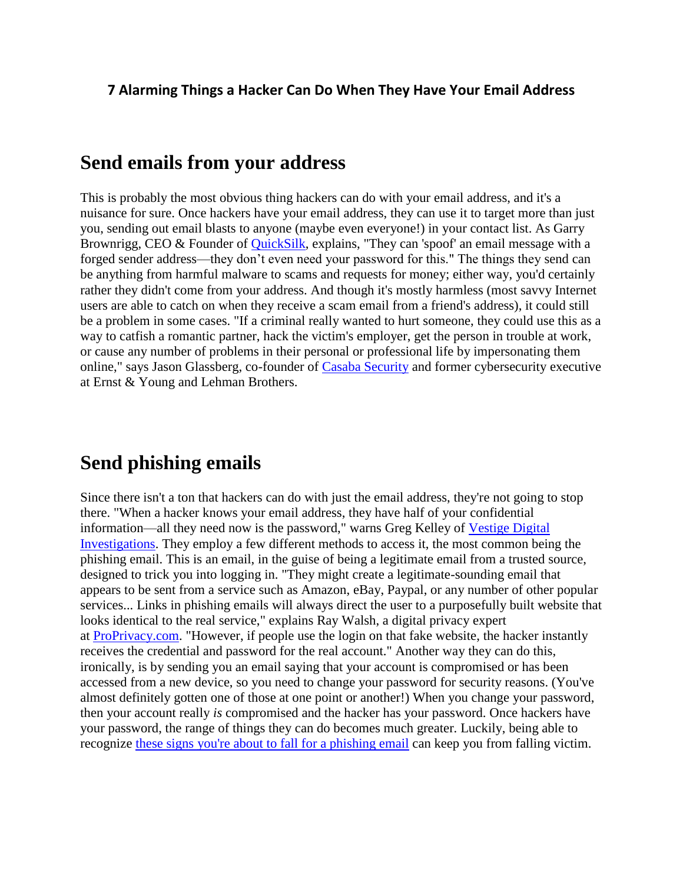#### **7 Alarming Things a Hacker Can Do When They Have Your Email Address**

#### **Send emails from your address**

This is probably the most obvious thing hackers can do with your email address, and it's a nuisance for sure. Once hackers have your email address, they can use it to target more than just you, sending out email blasts to anyone (maybe even everyone!) in your contact list. As Garry Brownrigg, CEO & Founder of [QuickSilk,](https://www.quicksilk.com/) explains, "They can 'spoof' an email message with a forged sender address—they don't even need your password for this." The things they send can be anything from harmful malware to scams and requests for money; either way, you'd certainly rather they didn't come from your address. And though it's mostly harmless (most savvy Internet users are able to catch on when they receive a scam email from a friend's address), it could still be a problem in some cases. "If a criminal really wanted to hurt someone, they could use this as a way to catfish a romantic partner, hack the victim's employer, get the person in trouble at work, or cause any number of problems in their personal or professional life by impersonating them online," says Jason Glassberg, co-founder of [Casaba Security](https://www.casaba.com/) and former cybersecurity executive at Ernst & Young and Lehman Brothers.

#### **Send phishing emails**

Since there isn't a ton that hackers can do with just the email address, they're not going to stop there. "When a hacker knows your email address, they have half of your confidential information—all they need now is the password," warns Greg Kelley of [Vestige Digital](https://www.vestigeltd.com/)  [Investigations.](https://www.vestigeltd.com/) They employ a few different methods to access it, the most common being the phishing email. This is an email, in the guise of being a legitimate email from a trusted source, designed to trick you into logging in. "They might create a legitimate-sounding email that appears to be sent from a service such as Amazon, eBay, Paypal, or any number of other popular services... Links in phishing emails will always direct the user to a purposefully built website that looks identical to the real service," explains Ray Walsh, a digital privacy expert at [ProPrivacy.com.](http://proprivacy.com/) "However, if people use the login on that fake website, the hacker instantly receives the credential and password for the real account." Another way they can do this, ironically, is by sending you an email saying that your account is compromised or has been accessed from a new device, so you need to change your password for security reasons. (You've almost definitely gotten one of those at one point or another!) When you change your password, then your account really *is* compromised and the hacker has your password. Once hackers have your password, the range of things they can do becomes much greater. Luckily, being able to recognize [these signs you're about to fall for a phishing email](https://www.rd.com/advice/phishing-email-signs/) can keep you from falling victim.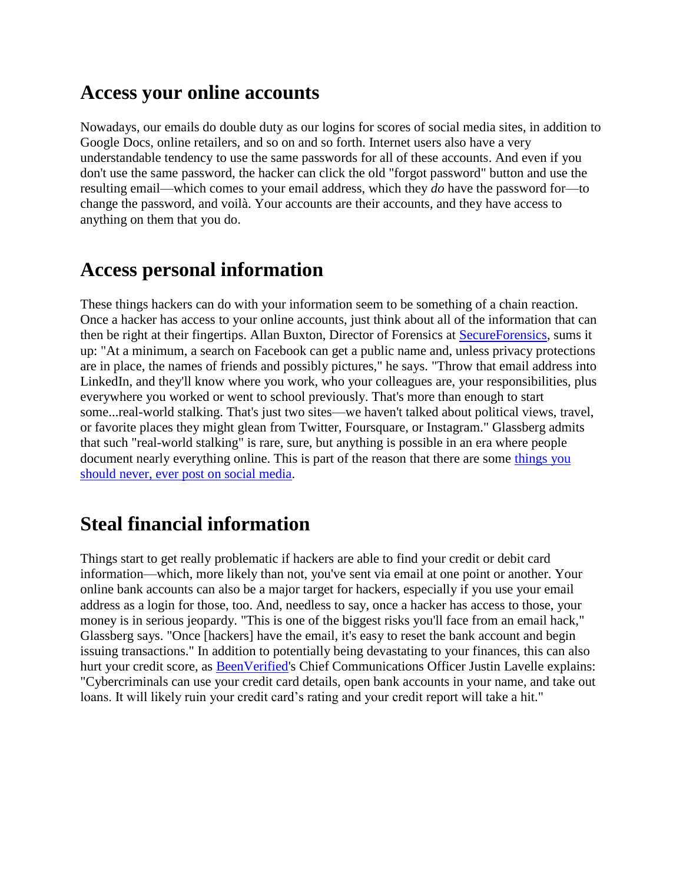#### **Access your online accounts**

Nowadays, our emails do double duty as our logins for scores of social media sites, in addition to Google Docs, online retailers, and so on and so forth. Internet users also have a very understandable tendency to use the same passwords for all of these accounts. And even if you don't use the same password, the hacker can click the old "forgot password" button and use the resulting email—which comes to your email address, which they *do* have the password for—to change the password, and voilà. Your accounts are their accounts, and they have access to anything on them that you do.

#### **Access personal information**

These things hackers can do with your information seem to be something of a chain reaction. Once a hacker has access to your online accounts, just think about all of the information that can then be right at their fingertips. Allan Buxton, Director of Forensics at [SecureForensics,](http://www.secureforensics.com/) sums it up: "At a minimum, a search on Facebook can get a public name and, unless privacy protections are in place, the names of friends and possibly pictures," he says. "Throw that email address into LinkedIn, and they'll know where you work, who your colleagues are, your responsibilities, plus everywhere you worked or went to school previously. That's more than enough to start some...real-world stalking. That's just two sites—we haven't talked about political views, travel, or favorite places they might glean from Twitter, Foursquare, or Instagram." Glassberg admits that such "real-world stalking" is rare, sure, but anything is possible in an era where people document nearly everything online. This is part of the reason that there are some [things you](https://www.rd.com/health/wellness/social-media-photos/)  [should never, ever post on social media.](https://www.rd.com/health/wellness/social-media-photos/)

## **Steal financial information**

Things start to get really problematic if hackers are able to find your credit or debit card information—which, more likely than not, you've sent via email at one point or another. Your online bank accounts can also be a major target for hackers, especially if you use your email address as a login for those, too. And, needless to say, once a hacker has access to those, your money is in serious jeopardy. "This is one of the biggest risks you'll face from an email hack," Glassberg says. "Once [hackers] have the email, it's easy to reset the bank account and begin issuing transactions." In addition to potentially being devastating to your finances, this can also hurt your credit score, as [BeenVerified's](https://www.globenewswire.com/Tracker?data=naEFDiYES2czLWti0B0omqa2YfpjYEpWWAGUvltCiSWYq5EDX3njIMAAFj36mNCYcYT_Cftjr8FO-A0MRsfLqNNfi_ir-daK8YR1olu9cCyO-DVTojwJj85mYeeOFLsP) Chief Communications Officer Justin Lavelle explains: "Cybercriminals can use your credit card details, open bank accounts in your name, and take out loans. It will likely ruin your credit card's rating and your credit report will take a hit."